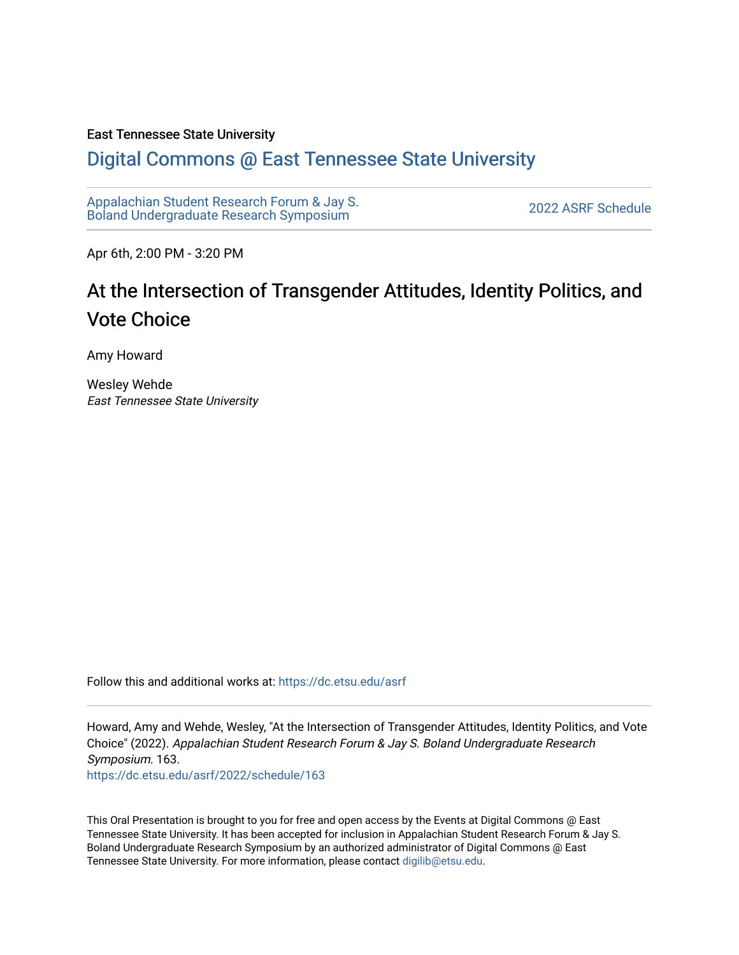#### East Tennessee State University

#### [Digital Commons @ East Tennessee State University](https://dc.etsu.edu/)

[Appalachian Student Research Forum & Jay S.](https://dc.etsu.edu/asrf)  Appalactifalt Student Research Forum & Jay S.<br>Boland Undergraduate Research Symposium

Apr 6th, 2:00 PM - 3:20 PM

#### At the Intersection of Transgender Attitudes, Identity Politics, and Vote Choice

Amy Howard

Wesley Wehde East Tennessee State University

Follow this and additional works at: [https://dc.etsu.edu/asrf](https://dc.etsu.edu/asrf?utm_source=dc.etsu.edu%2Fasrf%2F2022%2Fschedule%2F163&utm_medium=PDF&utm_campaign=PDFCoverPages) 

Howard, Amy and Wehde, Wesley, "At the Intersection of Transgender Attitudes, Identity Politics, and Vote Choice" (2022). Appalachian Student Research Forum & Jay S. Boland Undergraduate Research Symposium. 163. [https://dc.etsu.edu/asrf/2022/schedule/163](https://dc.etsu.edu/asrf/2022/schedule/163?utm_source=dc.etsu.edu%2Fasrf%2F2022%2Fschedule%2F163&utm_medium=PDF&utm_campaign=PDFCoverPages) 

This Oral Presentation is brought to you for free and open access by the Events at Digital Commons @ East Tennessee State University. It has been accepted for inclusion in Appalachian Student Research Forum & Jay S. Boland Undergraduate Research Symposium by an authorized administrator of Digital Commons @ East Tennessee State University. For more information, please contact [digilib@etsu.edu](mailto:digilib@etsu.edu).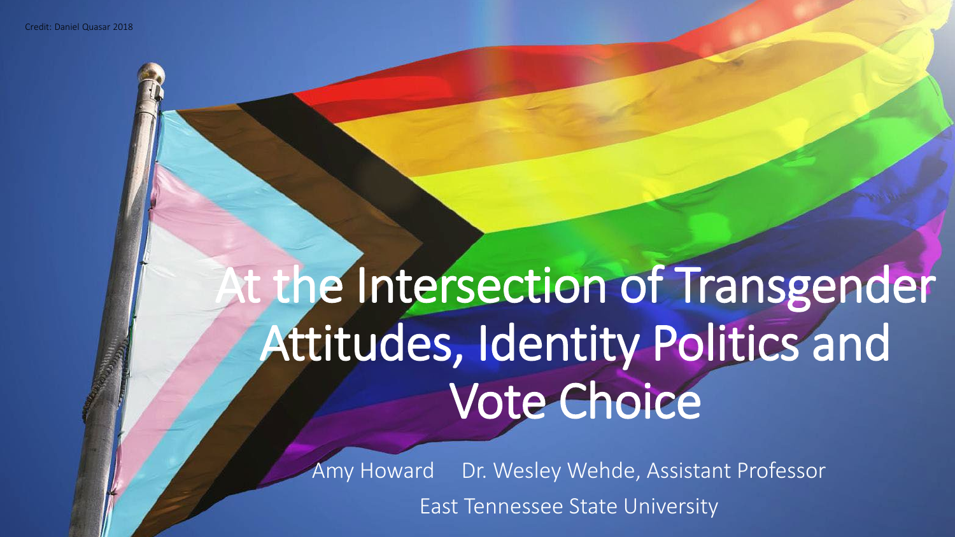## At the Intersection of Transgender Attitudes, Identity Politics and Vote Choice

Amy Howard Dr. Wesley Wehde, Assistant Professor East Tennessee State University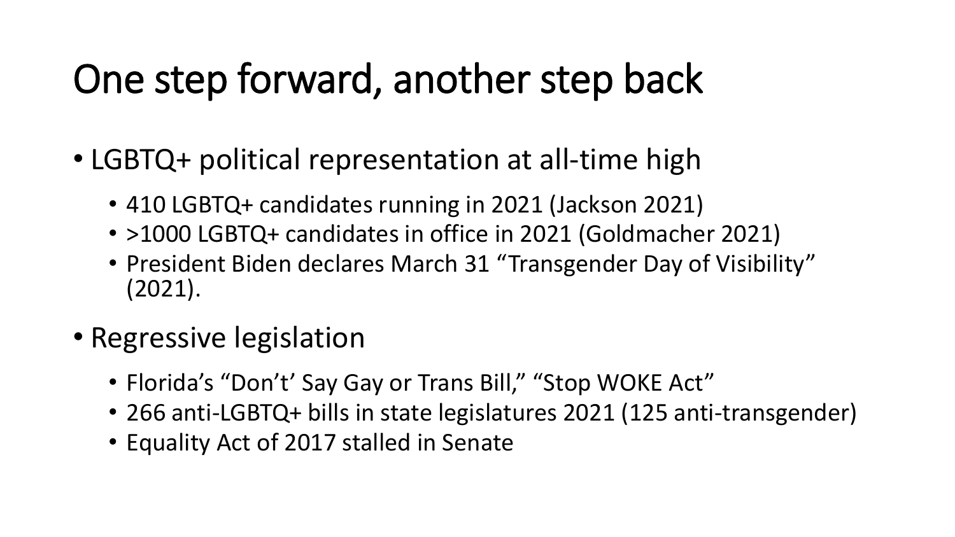#### One step forward, another step back

- LGBTQ+ political representation at all-time high
	- 410 LGBTQ+ candidates running in 2021 (Jackson 2021)
	- >1000 LGBTQ+ candidates in office in 2021 (Goldmacher 2021)
	- President Biden declares March 31 "Transgender Day of Visibility" (2021).
- Regressive legislation
	- Florida's "Don't' Say Gay or Trans Bill," "Stop WOKE Act"
	- 266 anti-LGBTQ+ bills in state legislatures 2021 (125 anti-transgender)
	- Equality Act of 2017 stalled in Senate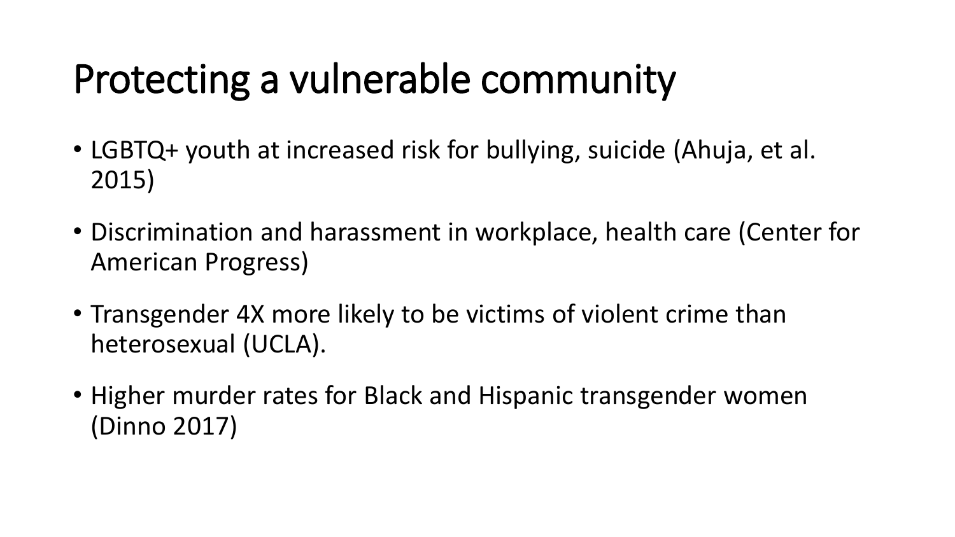### Protecting a vulnerable community

- LGBTQ+ youth at increased risk for bullying, suicide (Ahuja, et al. 2015)
- Discrimination and harassment in workplace, health care (Center for American Progress)
- Transgender 4X more likely to be victims of violent crime than heterosexual (UCLA).
- Higher murder rates for Black and Hispanic transgender women (Dinno 2017)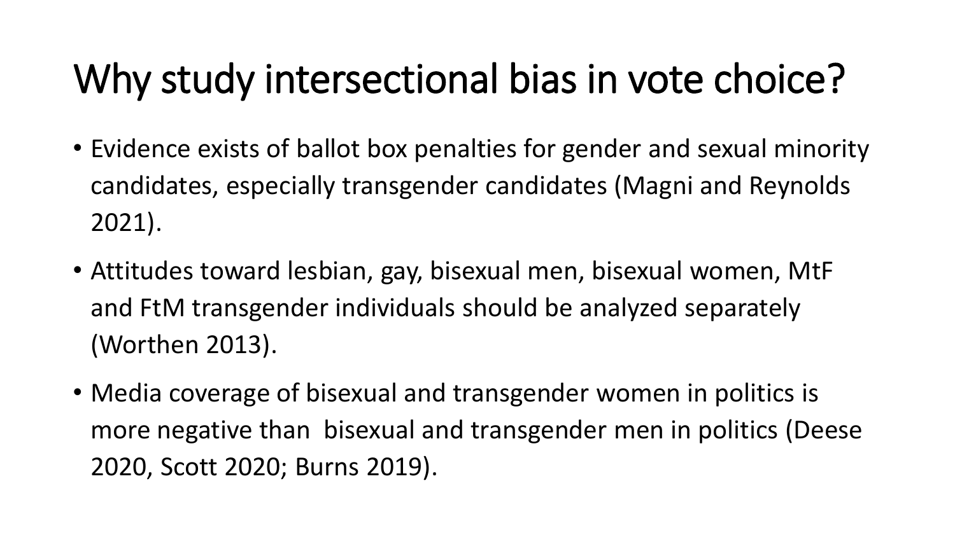### Why study intersectional bias in vote choice?

- Evidence exists of ballot box penalties for gender and sexual minority candidates, especially transgender candidates (Magni and Reynolds 2021).
- Attitudes toward lesbian, gay, bisexual men, bisexual women, MtF and FtM transgender individuals should be analyzed separately (Worthen 2013).
- Media coverage of bisexual and transgender women in politics is more negative than bisexual and transgender men in politics (Deese 2020, Scott 2020; Burns 2019).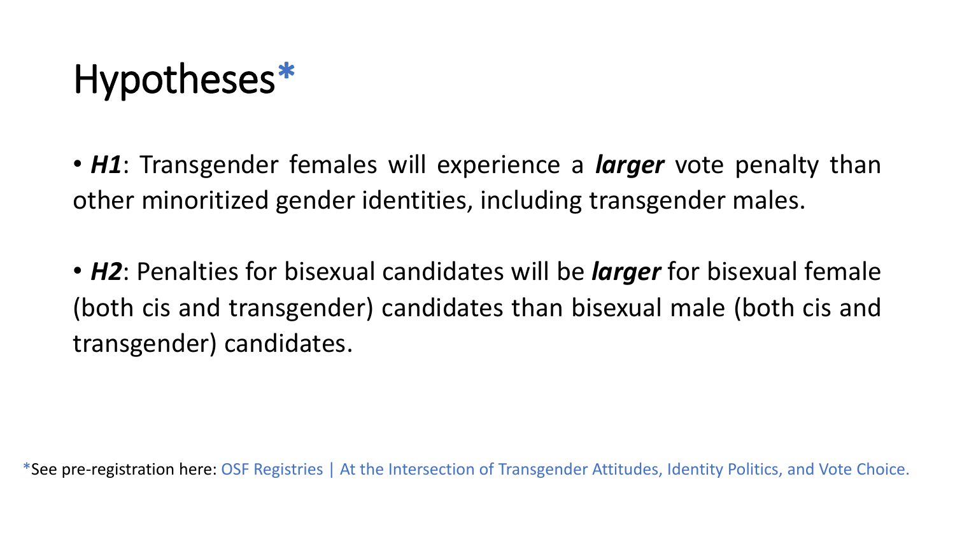

• *H1*: Transgender females will experience a *larger* vote penalty than other minoritized gender identities, including transgender males.

• *H2*: Penalties for bisexual candidates will be *larger* for bisexual female (both cis and transgender) candidates than bisexual male (both cis and transgender) candidates.

\*See pre-registration here: OSF Registries | At the Intersection of Transgender Attitudes, Identity Politics, and Vote Choice.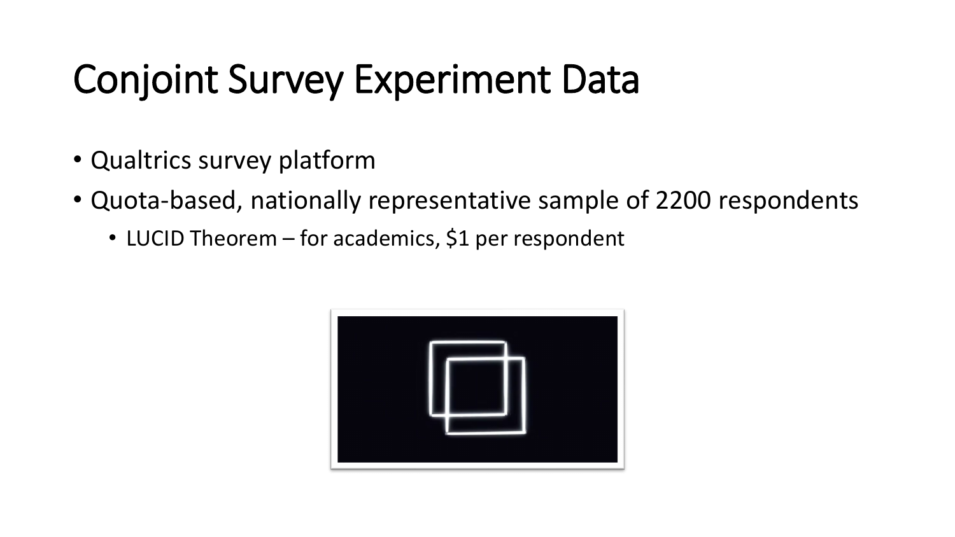#### Conjoint Survey Experiment Data

- Qualtrics survey platform
- Quota-based, nationally representative sample of 2200 respondents
	- LUCID Theorem for academics, \$1 per respondent

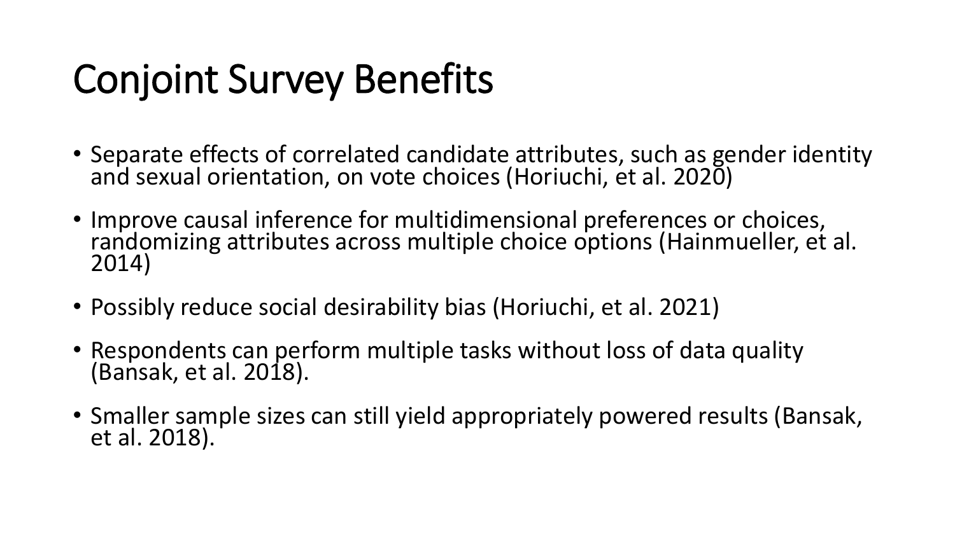#### Conjoint Survey Benefits

- Separate effects of correlated candidate attributes, such as gender identity and sexual orientation, on vote choices (Horiuchi, et al. 2020)
- Improve causal inference for multidimensional preferences or choices, randomizing attributes across multiple choice options (Hainmueller, et al. 2014)
- Possibly reduce social desirability bias (Horiuchi, et al. 2021)
- Respondents can perform multiple tasks without loss of data quality (Bansak, et al. 2018).
- Smaller sample sizes can still yield appropriately powered results (Bansak, et al. 2018).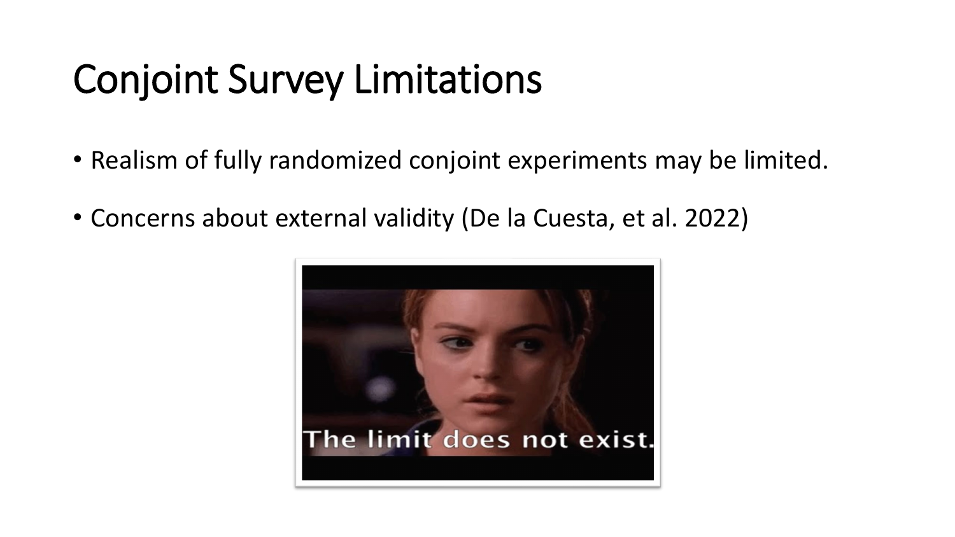#### Conjoint Survey Limitations

- Realism of fully randomized conjoint experiments may be limited.
- Concerns about external validity (De la Cuesta, et al. 2022)

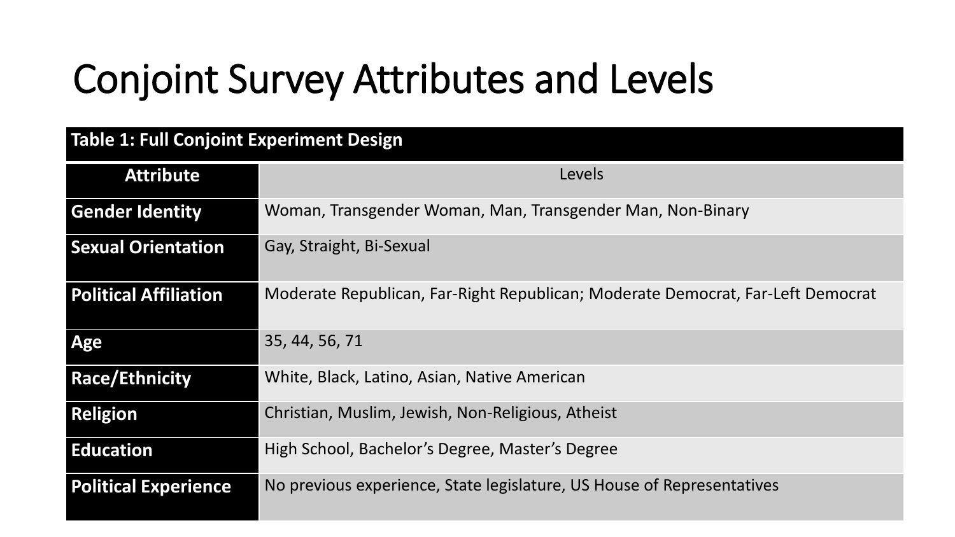### Conjoint Survey Attributes and Levels

| <b>Table 1: Full Conjoint Experiment Design</b> |                                                                                 |  |  |  |
|-------------------------------------------------|---------------------------------------------------------------------------------|--|--|--|
| <b>Attribute</b>                                | Levels                                                                          |  |  |  |
| <b>Gender Identity</b>                          | Woman, Transgender Woman, Man, Transgender Man, Non-Binary                      |  |  |  |
| <b>Sexual Orientation</b>                       | Gay, Straight, Bi-Sexual                                                        |  |  |  |
| <b>Political Affiliation</b>                    | Moderate Republican, Far-Right Republican; Moderate Democrat, Far-Left Democrat |  |  |  |
| <b>Age</b>                                      | 35, 44, 56, 71                                                                  |  |  |  |
| <b>Race/Ethnicity</b>                           | White, Black, Latino, Asian, Native American                                    |  |  |  |
| <b>Religion</b>                                 | Christian, Muslim, Jewish, Non-Religious, Atheist                               |  |  |  |
| <b>Education</b>                                | High School, Bachelor's Degree, Master's Degree                                 |  |  |  |
| <b>Political Experience</b>                     | No previous experience, State legislature, US House of Representatives          |  |  |  |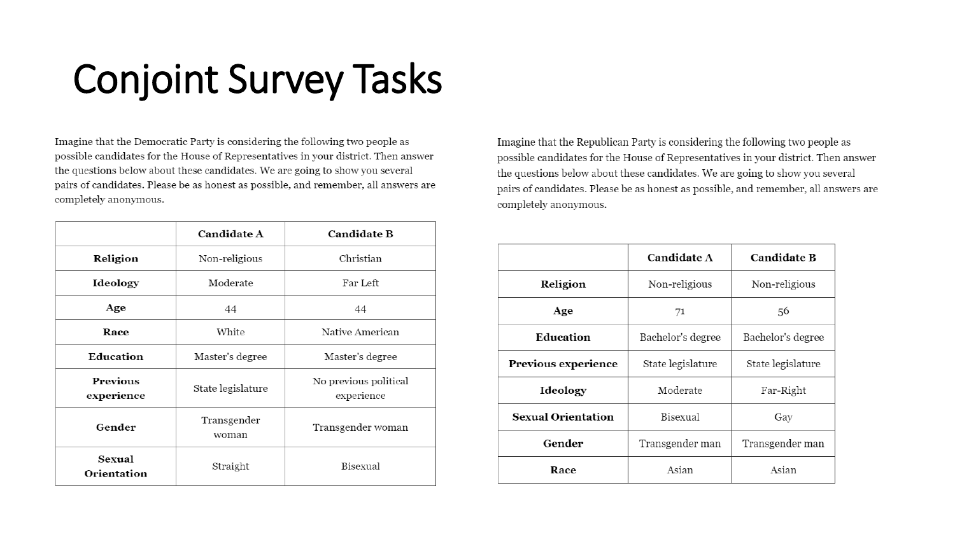#### Conjoint Survey Tasks

Imagine that the Democratic Party is considering the following two people as possible candidates for the House of Representatives in your district. Then answer the questions below about these candidates. We are going to show you several pairs of candidates. Please be as honest as possible, and remember, all answers are completely anonymous.

|                               | <b>Candidate A</b>   | <b>Candidate B</b>                  |  |
|-------------------------------|----------------------|-------------------------------------|--|
| Religion                      | Non-religious        | Christian                           |  |
| Ideology                      | Moderate             | Far Left                            |  |
| Age                           | 44                   | 44                                  |  |
| Race                          | White                | Native American                     |  |
| Education                     | Master's degree      | Master's degree                     |  |
| <b>Previous</b><br>experience | State legislature    | No previous political<br>experience |  |
| Gender                        | Transgender<br>woman | Transgender woman                   |  |
| Sexual<br>Orientation         | Straight             | Bisexual                            |  |

Imagine that the Republican Party is considering the following two people as possible candidates for the House of Representatives in your district. Then answer the questions below about these candidates. We are going to show you several pairs of candidates. Please be as honest as possible, and remember, all answers are completely anonymous.

|                           | <b>Candidate A</b> | <b>Candidate B</b> |  |
|---------------------------|--------------------|--------------------|--|
| Religion                  | Non-religious      | Non-religious      |  |
| Age                       | 56<br>71           |                    |  |
| Education                 | Bachelor's degree  | Bachelor's degree  |  |
| Previous experience       | State legislature  | State legislature  |  |
| Ideology                  | Moderate           | Far-Right          |  |
| <b>Sexual Orientation</b> | Bisexual           | Gay                |  |
| Gender                    | Transgender man    | Transgender man    |  |
| Race                      | Asian              | Asian              |  |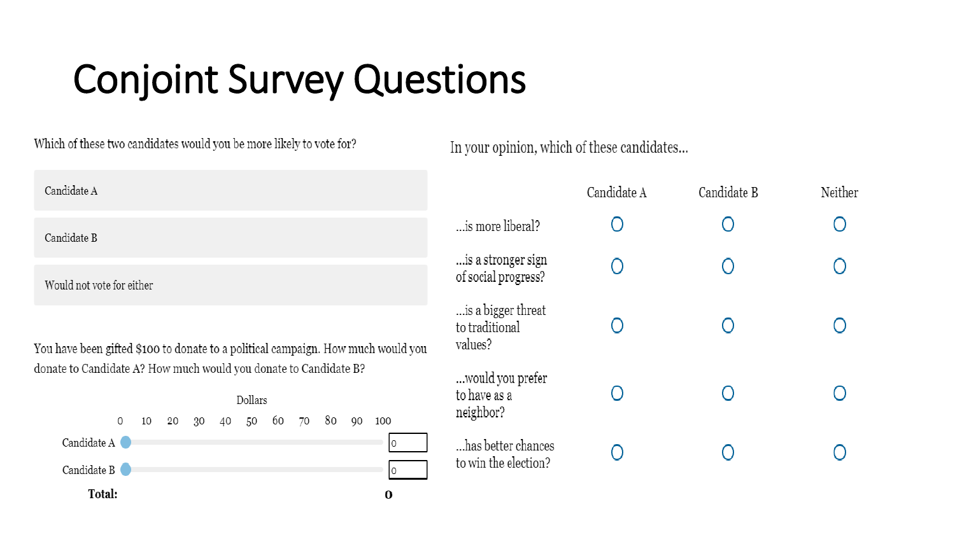### Conjoint Survey Questions

Which of these two candidates would you be more likely to vote for?

Candidate A Candidate B Would not vote for either You have been gifted \$100 to donate to a political campaign. How much would you donate to Candidate A? How much would you donate to Candidate B? Dollars 80 0 30 40 50 60 70 90 100 10 20 Candidate A $\blacksquare$ Candidate B Total:  $\bf{0}$ 

In your opinion, which of these candidates...

|                                                 | Candidate A | Candidate B | Neither |
|-------------------------------------------------|-------------|-------------|---------|
| is more liberal?                                |             | Ο           |         |
| is a stronger sign<br>of social progress?       |             | O           |         |
| is a bigger threat<br>to traditional<br>values? | $\cup$      | $\bigcirc$  |         |
| would you prefer<br>to have as a<br>neighbor?   | $\bigcirc$  | Ο           |         |
| has better chances<br>to win the election?      |             |             |         |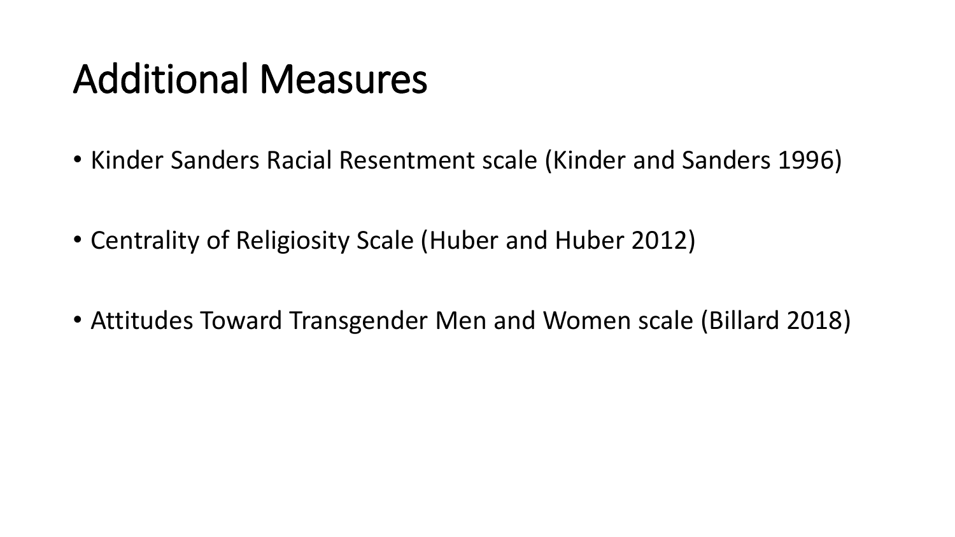#### Additional Measures

- Kinder Sanders Racial Resentment scale (Kinder and Sanders 1996)
- Centrality of Religiosity Scale (Huber and Huber 2012)
- Attitudes Toward Transgender Men and Women scale (Billard 2018)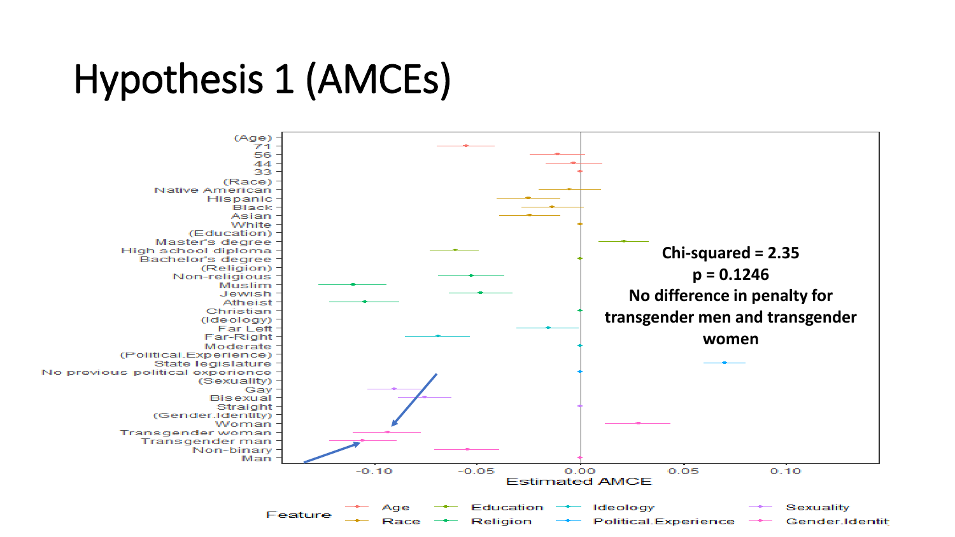#### Hypothesis 1 (AMCEs)

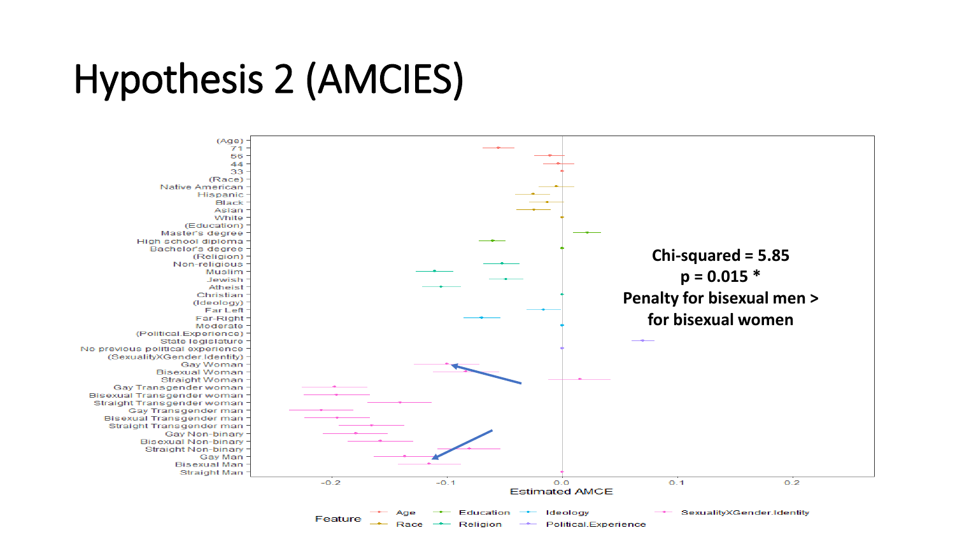### Hypothesis 2 (AMCIES)

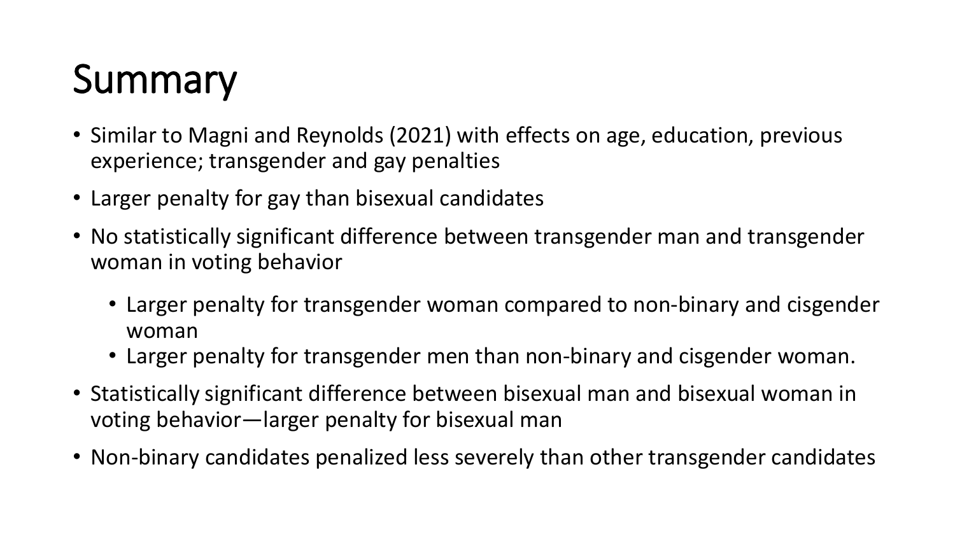### Summary

- Similar to Magni and Reynolds (2021) with effects on age, education, previous experience; transgender and gay penalties
- Larger penalty for gay than bisexual candidates
- No statistically significant difference between transgender man and transgender woman in voting behavior
	- Larger penalty for transgender woman compared to non-binary and cisgender woman
	- Larger penalty for transgender men than non-binary and cisgender woman.
- Statistically significant difference between bisexual man and bisexual woman in voting behavior—larger penalty for bisexual man
- Non-binary candidates penalized less severely than other transgender candidates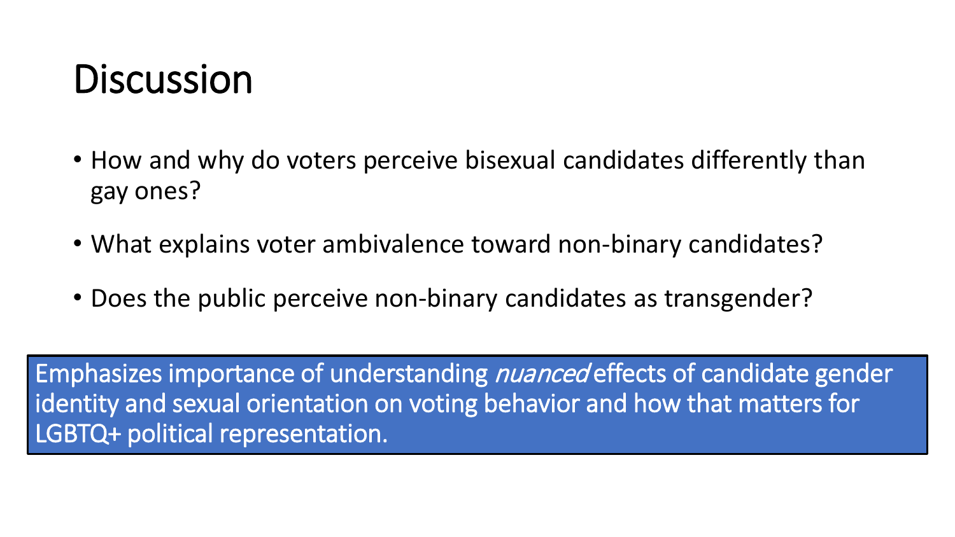#### **Discussion**

- How and why do voters perceive bisexual candidates differently than gay ones?
- What explains voter ambivalence toward non-binary candidates?
- Does the public perceive non-binary candidates as transgender?

Emphasizes importance of understanding nuanced effects of candidate gender identity and sexual orientation on voting behavior and how that matters for LGBTQ+ political representation.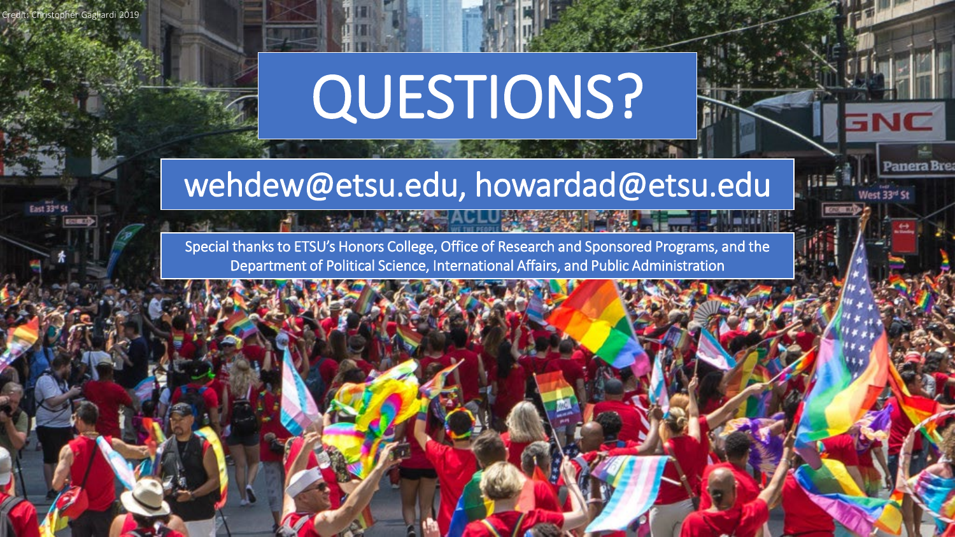# QUESTIONS?

#### wehdew@etsu.edu, howardad@etsu.edu

Panera E

Special thanks to ETSU's Honors College, Office of Research and Sponsored Programs, and the Department of Political Science, International Affairs, and Public Administration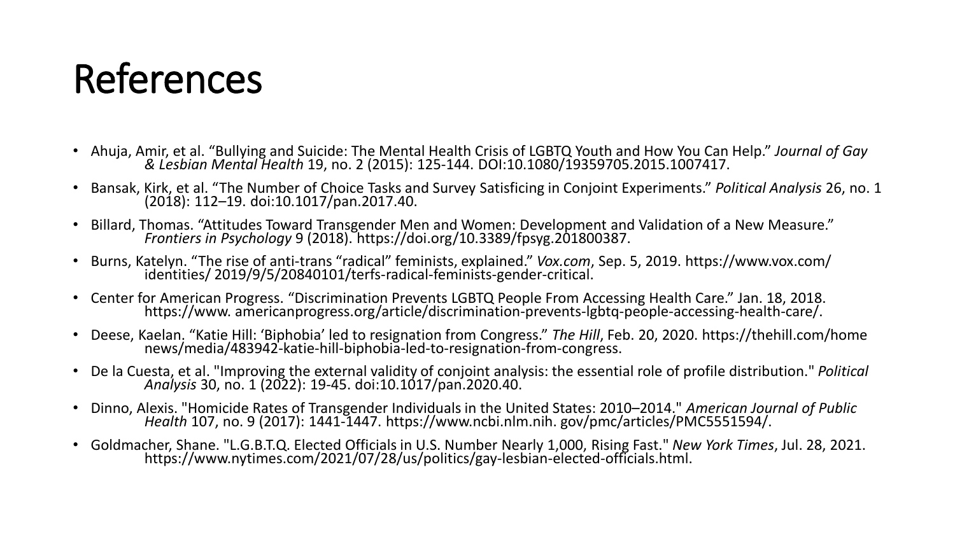#### References

- Ahuja, Amir, et al. "Bullying and Suicide: The Mental Health Crisis of LGBTQ Youth and How You Can Help." *Journal of Gay & Lesbian Mental Health* 19, no. 2 (2015): 125-144. DOI:10.1080/19359705.2015.1007417.
- Bansak, Kirk, et al. "The Number of Choice Tasks and Survey Satisficing in Conjoint Experiments." *Political Analysis* 26, no. 1 (2018): 112–19. doi:10.1017/pan.2017.40.
- Billard, Thomas. "Attitudes Toward Transgender Men and Women: Development and Validation of a New Measure." *Frontiers in Psychology* 9 (2018). https://doi.org/10.3389/fpsyg.201800387.
- Burns, Katelyn. "The rise of anti-trans "radical" feminists, explained." *Vox.com*, Sep. 5, 2019. https://www.vox.com/ identities/ 2019/9/5/20840101/terfs-radical-feminists-gender-critical.
- Center for American Progress. "Discrimination Prevents LGBTQ People From Accessing Health Care." Jan. 18, 2018. https://www. americanprogress.org/article/discrimination-prevents-lgbtq-people-accessing-health-care/.
- Deese, Kaelan. "Katie Hill: 'Biphobia' led to resignation from Congress." *The Hill*, Feb. 20, 2020. https://thehill.com/home news/media/483942-katie-hill-biphobia-led-to-resignation-from-congress.
- De la Cuesta, et al. "Improving the external validity of conjoint analysis: the essential role of profile distribution." *Political Analysis* 30, no. 1 (2022): 19-45. doi:10.1017/pan.2020.40.
- Dinno, Alexis. "Homicide Rates of Transgender Individuals in the United States: 2010–2014." *American Journal of Public Health* 107, no. 9 (2017): 1441-1447. https://www.ncbi.nlm.nih. gov/pmc/articles/PMC5551594/.
- Goldmacher, Shane. "L.G.B.T.Q. Elected Officials in U.S. Number Nearly 1,000, Rising Fast." *New York Times*, Jul. 28, 2021.<br>https://www.nytimes.com/2021/07/28/us/politics/gay-lesbian-elected-officials.html.